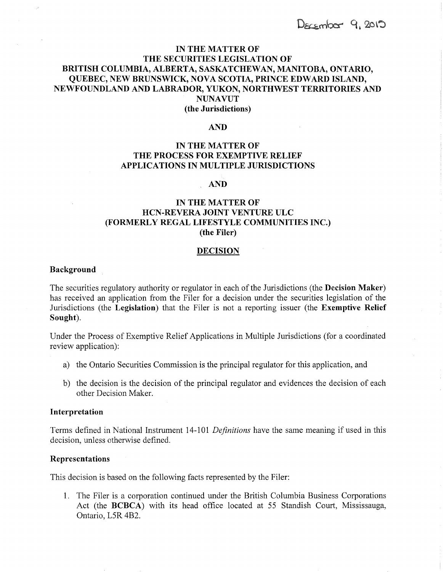# **IN THE MATTER OF THE SECURITIES LEGISLATION OF BRITISH COLUMBIA, ALBERTA, SASKATCHEWAN, MANITOBA, ONTARIO, QUEBEC, NEW BRUNSWICK, NOVA SCOTIA, PRINCE EDWARD ISLAND, NEWFOUNDLAND AND LABRADOR, YUKON, NORTHWEST TERRITORIES AND NUNAVUT (the Jurisdictions)**

### **AND**

# **IN THE MATTER OF THE PROCESS FOR EXEMPTIVE RELIEF APPLICATIONS IN MULTIPLE JURISDICTIONS**

### **AND**

# **IN THE MATTER OF HCN-REVERA JOINT VENTURE ULC (FORMERLY REGAL LIFESTYLE COMMUNITIES INC.) (the Filer)**

### **DECISION**

#### **Background**

The securities regulatory authority or regulator in each of the Jurisdictions (the **Decision Maker)**  has received an application from the Filer for a decision under the securities legislation of the Jurisdictions (the **Legislation)** that the Filer is not a reporting issuer (the **Exemptive Relief Sought).** 

Under the Process of Exemptive Relief Applications in Multiple Jurisdictions (for a coordinated review application):

- a) the Ontario Securities Commission is the principal regulator for this application, and
- b) the decision is the decision of the principal regulator and evidences the decision of each other Decision Maker.

### **Interpretation**

Terms defined in National Instrument 14-101 *Definitions* have the same meaning if used in this decision, unless otherwise defined.

## **Representations**

This decision is based on the following facts represented by the Filer:

1. The Filer is a corporation continued under the British Columbia Business Corporations Act (the **BCBCA)** with its head office located at 55 Standish Court, Mississauga, Ontario, L5R 4B2.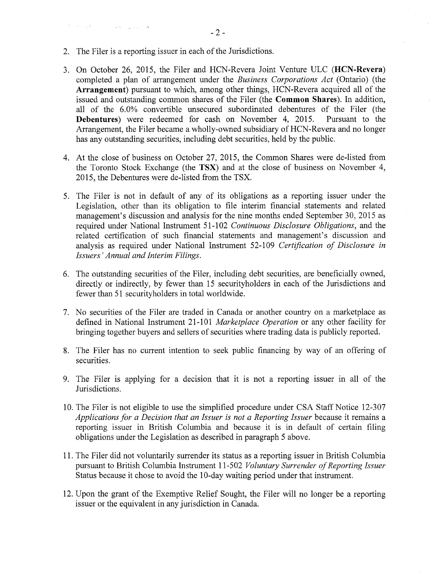2. The Filer is a reporting issuer in each of the Jurisdictions.

 $\label{eq:R1} \mathcal{F} = \mathcal{F} \left( \mathcal{F} \right) \otimes \mathcal{F} \left( \mathcal{F} \right) \otimes \mathcal{F} \left( \mathcal{F} \right) \otimes \mathcal{F} \left( \mathcal{F} \right) \otimes \mathcal{F} \left( \mathcal{F} \right) \otimes \mathcal{F} \left( \mathcal{F} \right) \otimes \mathcal{F} \left( \mathcal{F} \right) \otimes \mathcal{F} \left( \mathcal{F} \right) \otimes \mathcal{F} \left( \mathcal{F} \right) \otimes \mathcal{F} \left( \mathcal{F} \$ 

- 3. On October 26, 2015, the Filer and HCN-Revera Joint Venture ULC **(HCN-Revera)**  completed a plan of arrangement under the *Business Corporations Act* (Ontario) (the **Arrangement)** pursuant to which, among other things, HCN-Revera acquired all of the issued and outstanding common shares of the Filer (the **Common Shares).** In addition, all of the 6.0% convertible unsecured subordinated debentures of the Filer (the **Debentures**) were redeemed for cash on November 4, 2015. Pursuant to the **Debentures**) were redeemed for cash on November 4, 2015. Arrangement, the Filer became a wholly-owned subsidiary of HCN-Revera and no longer has any outstanding securities, including debt securities, held by the public.
- 4. At the close of business on October 27, 2015, the Common Shares were de-listed from the Toronto Stock Exchange (the **TSX)** and at the close of business on November 4, 2015, the Debentures were de-listed from the TSX.
- 5. The Filer is not in default of any of its obligations as a reporting issuer under the Legislation, other than its obligation to file interim financial statements and related management's discussion and analysis for the nine months ended September 30, 2015 as required under National Instrument 51-102 *Continuous Disclosure Obligations,* and the related certification of such financial statements and management's discussion and analysis as required under National Instrument 52-109 *Certification of Disclosure in Issuers' Annual and Interim Filings.*
- 6. The outstanding securities of the Filer, including debt securities, are beneficially owned, directly or indirectly, by fewer than 15 securityholders in each of the Jurisdictions and fewer than 51 securityholders in total worldwide.
- 7. No securities of the Filer are traded in Canada or another country on a marketplace as defined in National Instrument 21-101 *Marketplace Operation* or any other facility for bringing together buyers and sellers of securities where trading data is publicly reported.
- 8. The Filer has no current intention to seek public financing by way of an offering of securities.
- 9. The Filer is applying for a decision that it is not a reporting issuer in all of the Jurisdictions.
- 10. The Filer is not eligible to use the simplified procedure under CSA Staff Notice 12-307 *Applications for a Decision that an Issuer is not a Reporting Issuer* because it remains a reporting issuer in British Columbia and because it is in default of certain filing obligations under the Legislation as described in paragraph 5 above.
- 11. The Filer did not voluntarily surrender its status as a reporting issuer in British Columbia pursuant to British Columbia Instrument 11-502 *Voluntary Surrender of Reporting Issuer*  Status because it chose to avoid the 10-day waiting period under that instrument.
- 12. Upon the grant of the Exemptive Relief Sought, the Filer will no longer be a reporting issuer or the equivalent in any jurisdiction in Canada.